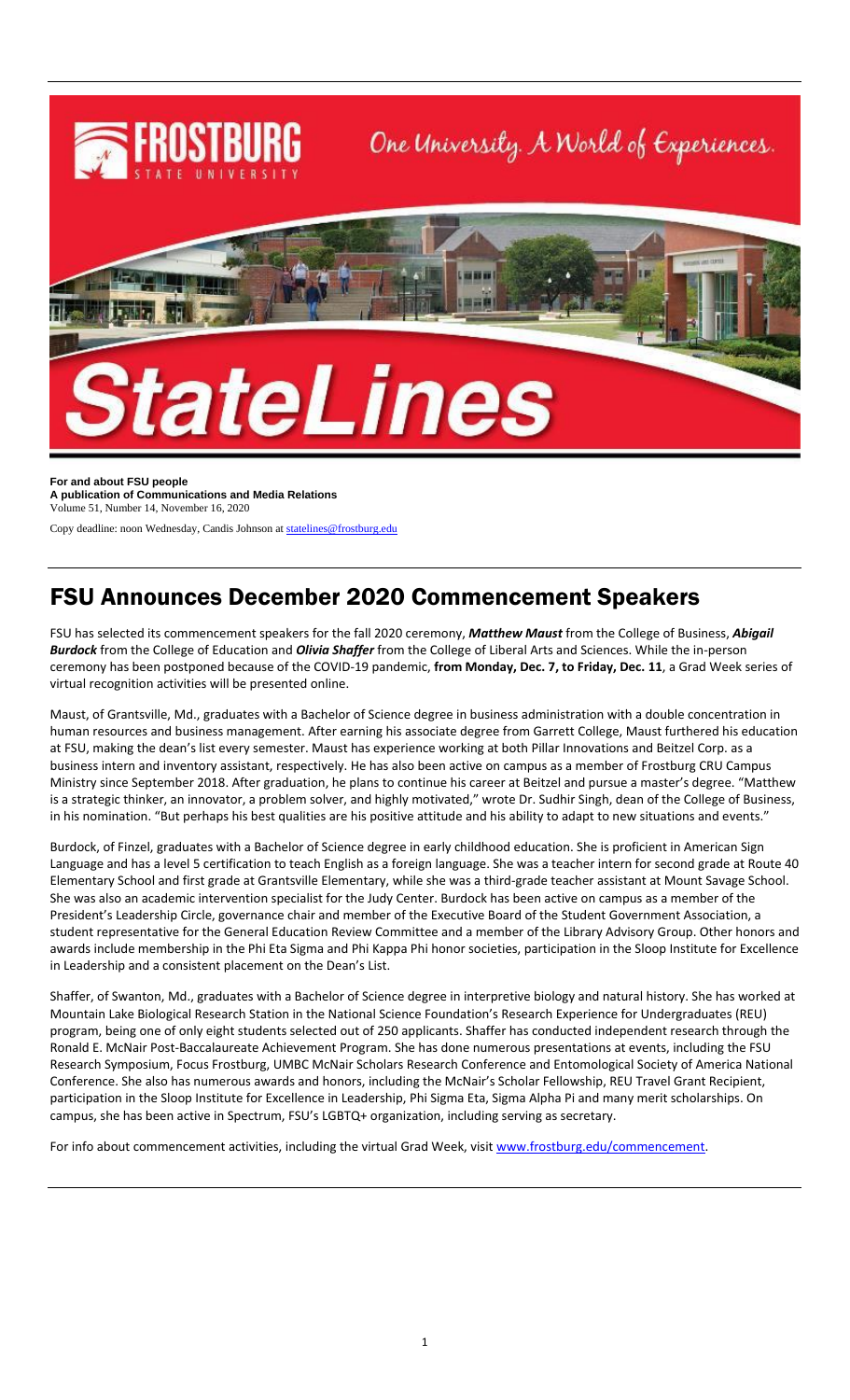

**For and about FSU people A publication of Communications and Media Relations** Volume 51, Number 14, November 16, 2020

Copy deadline: noon Wednesday, Candis Johnson a[t statelines@frostburg.edu](mailto:statelines@frostburg.edu)

## FSU Announces December 2020 Commencement Speakers

FSU has selected its commencement speakers for the fall 2020 ceremony, *Matthew Maust* from the College of Business, *Abigail Burdock* from the College of Education and *Olivia Shaffer* from the College of Liberal Arts and Sciences. While the in-person ceremony has been postponed because of the COVID-19 pandemic, **from Monday, Dec. 7, to Friday, Dec. 11**, a Grad Week series of virtual recognition activities will be presented online.

Maust, of Grantsville, Md., graduates with a Bachelor of Science degree in business administration with a double concentration in human resources and business management. After earning his associate degree from Garrett College, Maust furthered his education at FSU, making the dean's list every semester. Maust has experience working at both Pillar Innovations and Beitzel Corp. as a business intern and inventory assistant, respectively. He has also been active on campus as a member of Frostburg CRU Campus Ministry since September 2018. After graduation, he plans to continue his career at Beitzel and pursue a master's degree. "Matthew is a strategic thinker, an innovator, a problem solver, and highly motivated," wrote Dr. Sudhir Singh, dean of the College of Business, in his nomination. "But perhaps his best qualities are his positive attitude and his ability to adapt to new situations and events."

Burdock, of Finzel, graduates with a Bachelor of Science degree in early childhood education. She is proficient in American Sign Language and has a level 5 certification to teach English as a foreign language. She was a teacher intern for second grade at Route 40 Elementary School and first grade at Grantsville Elementary, while she was a third-grade teacher assistant at Mount Savage School. She was also an academic intervention specialist for the Judy Center. Burdock has been active on campus as a member of the President's Leadership Circle, governance chair and member of the Executive Board of the Student Government Association, a student representative for the General Education Review Committee and a member of the Library Advisory Group. Other honors and awards include membership in the Phi Eta Sigma and Phi Kappa Phi honor societies, participation in the Sloop Institute for Excellence in Leadership and a consistent placement on the Dean's List.

Shaffer, of Swanton, Md., graduates with a Bachelor of Science degree in interpretive biology and natural history. She has worked at Mountain Lake Biological Research Station in the National Science Foundation's Research Experience for Undergraduates (REU) program, being one of only eight students selected out of 250 applicants. Shaffer has conducted independent research through the Ronald E. McNair Post-Baccalaureate Achievement Program. She has done numerous presentations at events, including the FSU Research Symposium, Focus Frostburg, UMBC McNair Scholars Research Conference and Entomological Society of America National Conference. She also has numerous awards and honors, including the McNair's Scholar Fellowship, REU Travel Grant Recipient, participation in the Sloop Institute for Excellence in Leadership, Phi Sigma Eta, Sigma Alpha Pi and many merit scholarships. On campus, she has been active in Spectrum, FSU's LGBTQ+ organization, including serving as secretary.

For info about commencement activities, including the virtual Grad Week, visi[t www.frostburg.edu/commencement.](http://www.frostburg.edu/commencement)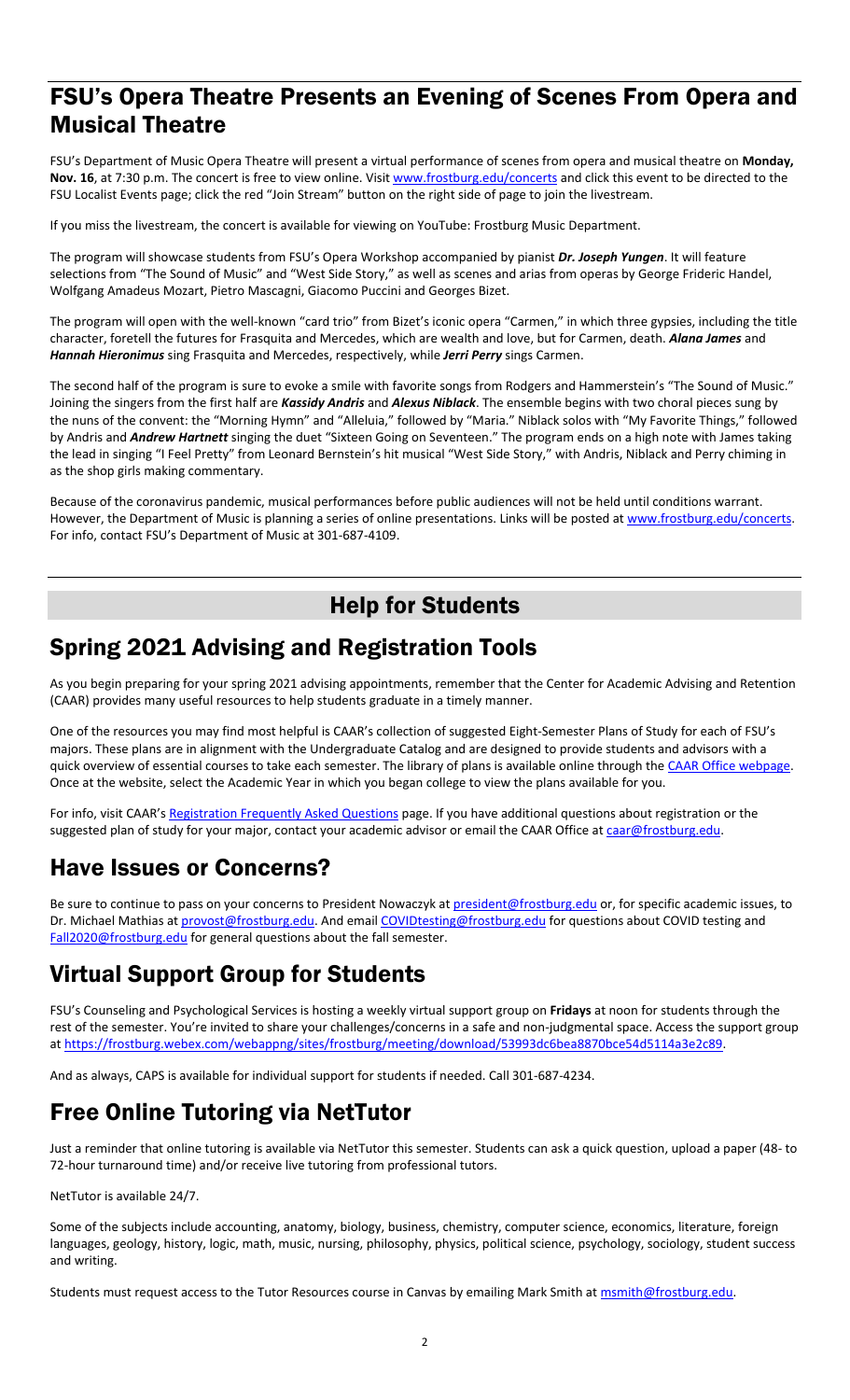## FSU's Opera Theatre Presents an Evening of Scenes From Opera and Musical Theatre

FSU's Department of Music Opera Theatre will present a virtual performance of scenes from opera and musical theatre on **Monday, Nov. 16**, at 7:30 p.m. The concert is free to view online. Visit [www.frostburg.edu/concerts](http://www.frostburg.edu/concerts) and click this event to be directed to the FSU Localist Events page; click the red "Join Stream" button on the right side of page to join the livestream.

If you miss the livestream, the concert is available for viewing on YouTube: Frostburg Music Department.

The program will showcase students from FSU's Opera Workshop accompanied by pianist *Dr. Joseph Yungen*. It will feature selections from "The Sound of Music" and "West Side Story," as well as scenes and arias from operas by George Frideric Handel, Wolfgang Amadeus Mozart, Pietro Mascagni, Giacomo Puccini and Georges Bizet.

The program will open with the well-known "card trio" from Bizet's iconic opera "Carmen," in which three gypsies, including the title character, foretell the futures for Frasquita and Mercedes, which are wealth and love, but for Carmen, death. *Alana James* and *Hannah Hieronimus* sing Frasquita and Mercedes, respectively, while *Jerri Perry* sings Carmen.

The second half of the program is sure to evoke a smile with favorite songs from Rodgers and Hammerstein's "The Sound of Music." Joining the singers from the first half are *Kassidy Andris* and *Alexus Niblack*. The ensemble begins with two choral pieces sung by the nuns of the convent: the "Morning Hymn" and "Alleluia," followed by "Maria." Niblack solos with "My Favorite Things," followed by Andris and *Andrew Hartnett* singing the duet "Sixteen Going on Seventeen." The program ends on a high note with James taking the lead in singing "I Feel Pretty" from Leonard Bernstein's hit musical "West Side Story," with Andris, Niblack and Perry chiming in as the shop girls making commentary.

Because of the coronavirus pandemic, musical performances before public audiences will not be held until conditions warrant. However, the Department of Music is planning a series of online presentations. Links will be posted at [www.frostburg.edu/concerts.](http://www.frostburg.edu/concerts) For info, contact FSU's Department of Music at 301-687-4109.

## Help for Students

## Spring 2021 Advising and Registration Tools

As you begin preparing for your spring 2021 advising appointments, remember that the Center for Academic Advising and Retention (CAAR) provides many useful resources to help students graduate in a timely manner.

One of the resources you may find most helpful is CAAR's collection of suggested Eight-Semester Plans of Study for each of FSU's majors. These plans are in alignment with the Undergraduate Catalog and are designed to provide students and advisors with a quick overview of essential courses to take each semester. The library of plans is available online through the [CAAR Office webpage.](https://www.frostburg.edu/academics/academic-success-network/Center-for-Academic-Advising-and-Retention/8-semester-plans/index.php) Once at the website, select the Academic Year in which you began college to view the plans available for you.

For info, visit CAAR's [Registration Frequently Asked Questions](https://www.frostburg.edu/academics/academic-success-network/Center-for-Academic-Advising-and-Retention/registration-frequently-asked-questions.php) page. If you have additional questions about registration or the suggested plan of study for your major, contact your academic advisor or email the CAAR Office at [caar@frostburg.edu.](mailto:caar@frostburg.edu)

# Have Issues or Concerns?

Be sure to continue to pass on your concerns to President Nowaczyk a[t president@frostburg.edu](mailto:president@frostburg.edu) or, for specific academic issues, to Dr. Michael Mathias a[t provost@frostburg.edu.](mailto:provost@frostburg.edu) And emai[l COVIDtesting@frostburg.edu](mailto:COVIDtesting@frostburg.edu) for questions about COVID testing and [Fall2020@frostburg.edu](mailto:Fall2020@frostburg.edu) for general questions about the fall semester.

## Virtual Support Group for Students

FSU's Counseling and Psychological Services is hosting a weekly virtual support group on **Fridays** at noon for students through the rest of the semester. You're invited to share your challenges/concerns in a safe and non-judgmental space. Access the support group a[t https://frostburg.webex.com/webappng/sites/frostburg/meeting/download/53993dc6bea8870bce54d5114a3e2c89.](https://frostburg.webex.com/webappng/sites/frostburg/meeting/download/53993dc6bea8870bce54d5114a3e2c89)

And as always, CAPS is available for individual support for students if needed. Call 301-687-4234.

## Free Online Tutoring via NetTutor

Just a reminder that online tutoring is available via NetTutor this semester. Students can ask a quick question, upload a paper (48- to 72-hour turnaround time) and/or receive live tutoring from professional tutors.

NetTutor is available 24/7.

Some of the subjects include accounting, anatomy, biology, business, chemistry, computer science, economics, literature, foreign languages, geology, history, logic, math, music, nursing, philosophy, physics, political science, psychology, sociology, student success and writing.

Students must request access to the Tutor Resources course in Canvas by emailing Mark Smith a[t msmith@frostburg.edu.](mailto:msmith@frostburg.edu)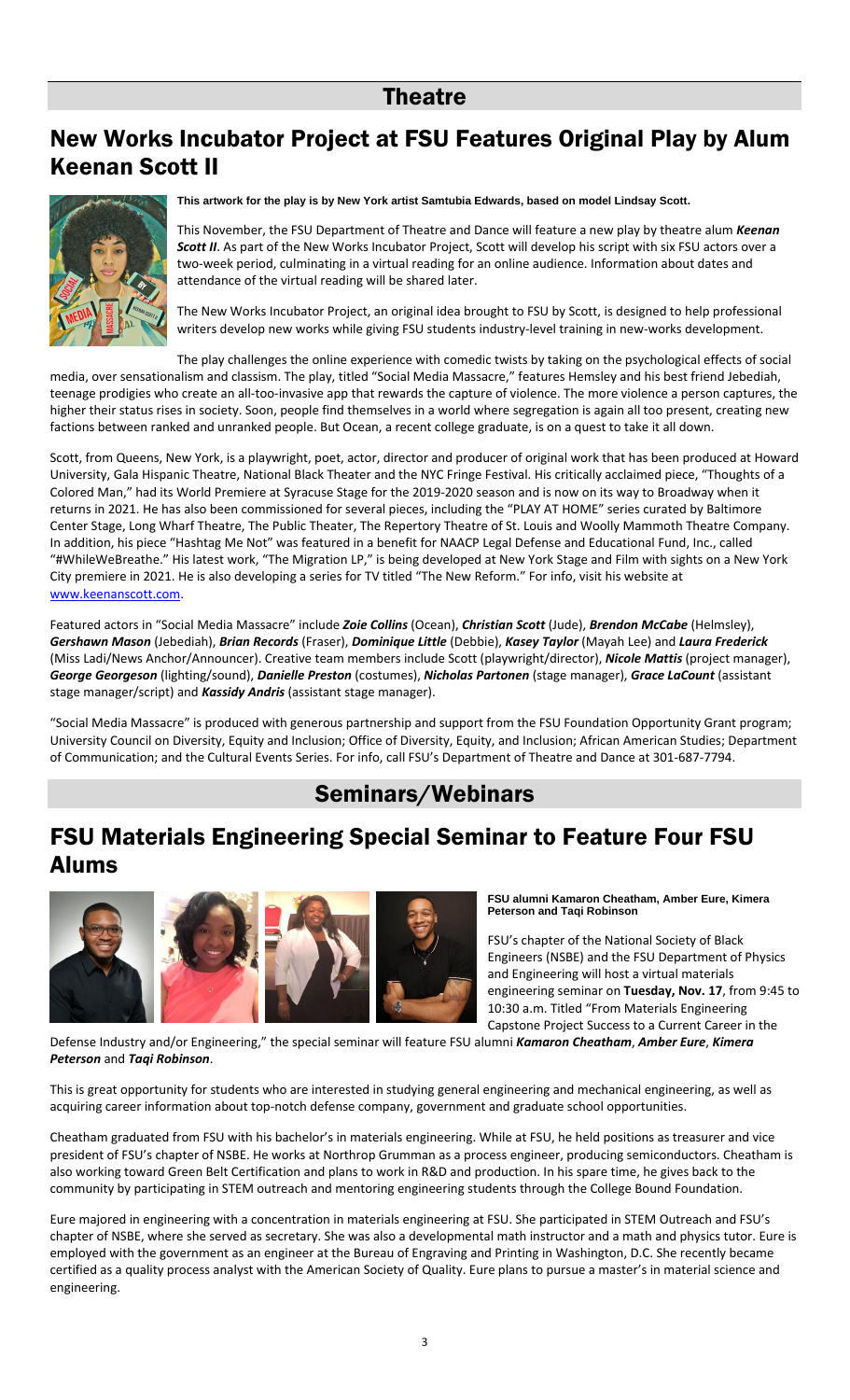### Theatre

## New Works Incubator Project at FSU Features Original Play by Alum Keenan Scott II



**This artwork for the play is by New York artist Samtubia Edwards, based on model Lindsay Scott.**

This November, the FSU Department of Theatre and Dance will feature a new play by theatre alum *Keenan*  **Scott II**. As part of the New Works Incubator Project, Scott will develop his script with six FSU actors over a two-week period, culminating in a virtual reading for an online audience. Information about dates and attendance of the virtual reading will be shared later.

The New Works Incubator Project, an original idea brought to FSU by Scott, is designed to help professional writers develop new works while giving FSU students industry-level training in new-works development.

The play challenges the online experience with comedic twists by taking on the psychological effects of social media, over sensationalism and classism. The play, titled "Social Media Massacre," features Hemsley and his best friend Jebediah, teenage prodigies who create an all-too-invasive app that rewards the capture of violence. The more violence a person captures, the higher their status rises in society. Soon, people find themselves in a world where segregation is again all too present, creating new factions between ranked and unranked people. But Ocean, a recent college graduate, is on a quest to take it all down.

Scott, from Queens, New York, is a playwright, poet, actor, director and producer of original work that has been produced at Howard University, Gala Hispanic Theatre, National Black Theater and the NYC Fringe Festival. His critically acclaimed piece, "Thoughts of a Colored Man," had its World Premiere at Syracuse Stage for the 2019-2020 season and is now on its way to Broadway when it returns in 2021. He has also been commissioned for several pieces, including the "PLAY AT HOME" series curated by Baltimore Center Stage, Long Wharf Theatre, The Public Theater, The Repertory Theatre of St. Louis and Woolly Mammoth Theatre Company. In addition, his piece "Hashtag Me Not" was featured in a benefit for NAACP Legal Defense and Educational Fund, Inc., called "#WhileWeBreathe." His latest work, "The Migration LP," is being developed at New York Stage and Film with sights on a New York City premiere in 2021. He is also developing a series for TV titled "The New Reform." For info, visit his website at [www.keenanscott.com.](http://www.keenanscott.com/)

Featured actors in "Social Media Massacre" include *Zoie Collins* (Ocean), *Christian Scott* (Jude), *Brendon McCabe* (Helmsley), *Gershawn Mason* (Jebediah), *Brian Records* (Fraser), *Dominique Little* (Debbie), *Kasey Taylor* (Mayah Lee) and *Laura Frederick* (Miss Ladi/News Anchor/Announcer). Creative team members include Scott (playwright/director), *Nicole Mattis* (project manager), *George Georgeson* (lighting/sound), *Danielle Preston* (costumes), *Nicholas Partonen* (stage manager), *Grace LaCount* (assistant stage manager/script) and *Kassidy Andris* (assistant stage manager).

"Social Media Massacre" is produced with generous partnership and support from the FSU Foundation Opportunity Grant program; University Council on Diversity, Equity and Inclusion; Office of Diversity, Equity, and Inclusion; African American Studies; Department of Communication; and the Cultural Events Series. For info, call FSU's Department of Theatre and Dance at 301-687-7794.

### Seminars/Webinars

## FSU Materials Engineering Special Seminar to Feature Four FSU Alums



**FSU alumni Kamaron Cheatham, Amber Eure, Kimera Peterson and Taqi Robinson**

FSU's chapter of the National Society of Black Engineers (NSBE) and the FSU Department of Physics and Engineering will host a virtual materials engineering seminar on **Tuesday, Nov. 17**, from 9:45 to 10:30 a.m. Titled "From Materials Engineering Capstone Project Success to a Current Career in the

Defense Industry and/or Engineering," the special seminar will feature FSU alumni *Kamaron Cheatham*, *Amber Eure*, *Kimera Peterson* and *Taqi Robinson*.

This is great opportunity for students who are interested in studying general engineering and mechanical engineering, as well as acquiring career information about top-notch defense company, government and graduate school opportunities.

Cheatham graduated from FSU with his bachelor's in materials engineering. While at FSU, he held positions as treasurer and vice president of FSU's chapter of NSBE. He works at Northrop Grumman as a process engineer, producing semiconductors. Cheatham is also working toward Green Belt Certification and plans to work in R&D and production. In his spare time, he gives back to the community by participating in STEM outreach and mentoring engineering students through the College Bound Foundation.

Eure majored in engineering with a concentration in materials engineering at FSU. She participated in STEM Outreach and FSU's chapter of NSBE, where she served as secretary. She was also a developmental math instructor and a math and physics tutor. Eure is employed with the government as an engineer at the Bureau of Engraving and Printing in Washington, D.C. She recently became certified as a quality process analyst with the American Society of Quality. Eure plans to pursue a master's in material science and engineering.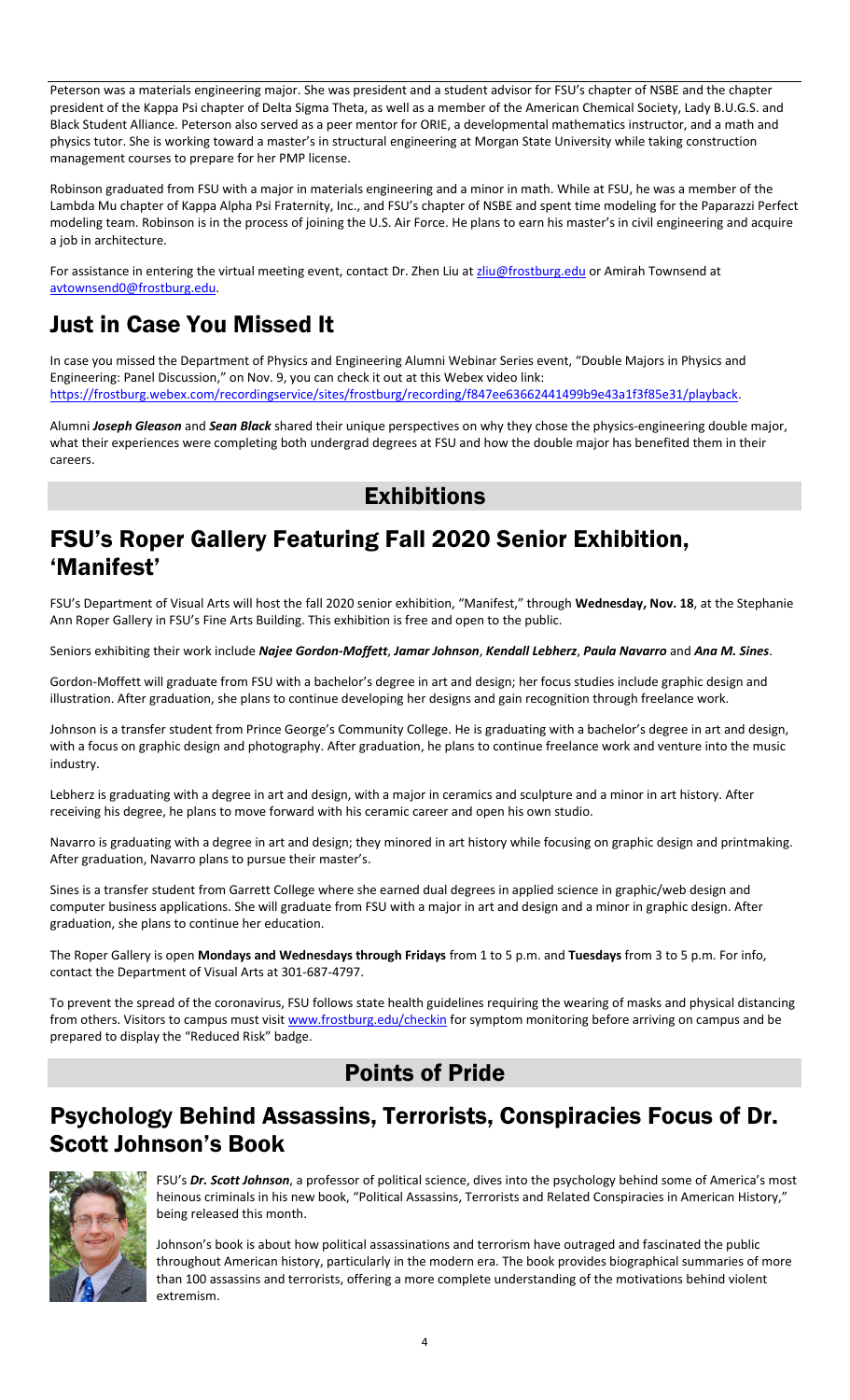Peterson was a materials engineering major. She was president and a student advisor for FSU's chapter of NSBE and the chapter president of the Kappa Psi chapter of Delta Sigma Theta, as well as a member of the American Chemical Society, Lady B.U.G.S. and Black Student Alliance. Peterson also served as a peer mentor for ORIE, a developmental mathematics instructor, and a math and physics tutor. She is working toward a master's in structural engineering at Morgan State University while taking construction management courses to prepare for her PMP license.

Robinson graduated from FSU with a major in materials engineering and a minor in math. While at FSU, he was a member of the Lambda Mu chapter of Kappa Alpha Psi Fraternity, Inc., and FSU's chapter of NSBE and spent time modeling for the Paparazzi Perfect modeling team. Robinson is in the process of joining the U.S. Air Force. He plans to earn his master's in civil engineering and acquire a job in architecture.

For assistance in entering the virtual meeting event, contact Dr. Zhen Liu a[t zliu@frostburg.edu](mailto:zliu@frostburg.edu) or Amirah Townsend at [avtownsend0@frostburg.edu.](mailto:avtownsend0@frostburg.edu)

## Just in Case You Missed It

In case you missed the Department of Physics and Engineering Alumni Webinar Series event, "Double Majors in Physics and Engineering: Panel Discussion," on Nov. 9, you can check it out at this Webex video link: [https://frostburg.webex.com/recordingservice/sites/frostburg/recording/f847ee63662441499b9e43a1f3f85e31/playback.](https://frostburg.webex.com/recordingservice/sites/frostburg/recording/f847ee63662441499b9e43a1f3f85e31/playback)

Alumni *Joseph Gleason* and *Sean Black* shared their unique perspectives on why they chose the physics-engineering double major, what their experiences were completing both undergrad degrees at FSU and how the double major has benefited them in their careers.

## **Exhibitions**

### FSU's Roper Gallery Featuring Fall 2020 Senior Exhibition, 'Manifest'

FSU's Department of Visual Arts will host the fall 2020 senior exhibition, "Manifest," through **Wednesday, Nov. 18**, at the Stephanie Ann Roper Gallery in FSU's Fine Arts Building. This exhibition is free and open to the public.

Seniors exhibiting their work include *Najee Gordon-Moffett*, *Jamar Johnson*, *Kendall Lebherz*, *Paula Navarro* and *Ana M. Sines*.

Gordon-Moffett will graduate from FSU with a bachelor's degree in art and design; her focus studies include graphic design and illustration. After graduation, she plans to continue developing her designs and gain recognition through freelance work.

Johnson is a transfer student from Prince George's Community College. He is graduating with a bachelor's degree in art and design, with a focus on graphic design and photography. After graduation, he plans to continue freelance work and venture into the music industry.

Lebherz is graduating with a degree in art and design, with a major in ceramics and sculpture and a minor in art history. After receiving his degree, he plans to move forward with his ceramic career and open his own studio.

Navarro is graduating with a degree in art and design; they minored in art history while focusing on graphic design and printmaking. After graduation, Navarro plans to pursue their master's.

Sines is a transfer student from Garrett College where she earned dual degrees in applied science in graphic/web design and computer business applications. She will graduate from FSU with a major in art and design and a minor in graphic design. After graduation, she plans to continue her education.

The Roper Gallery is open **Mondays and Wednesdays through Fridays** from 1 to 5 p.m. and **Tuesdays** from 3 to 5 p.m. For info, contact the Department of Visual Arts at 301-687-4797.

To prevent the spread of the coronavirus, FSU follows state health guidelines requiring the wearing of masks and physical distancing from others. Visitors to campus must visi[t www.frostburg.edu/checkin](http://www.frostburg.edu/checkin) for symptom monitoring before arriving on campus and be prepared to display the "Reduced Risk" badge.

## Points of Pride

## Psychology Behind Assassins, Terrorists, Conspiracies Focus of Dr. Scott Johnson's Book



FSU's *Dr. Scott Johnson*, a professor of political science, dives into the psychology behind some of America's most heinous criminals in his new book, "Political Assassins, Terrorists and Related Conspiracies in American History," being released this month.

Johnson's book is about how political assassinations and terrorism have outraged and fascinated the public throughout American history, particularly in the modern era. The book provides biographical summaries of more than 100 assassins and terrorists, offering a more complete understanding of the motivations behind violent extremism.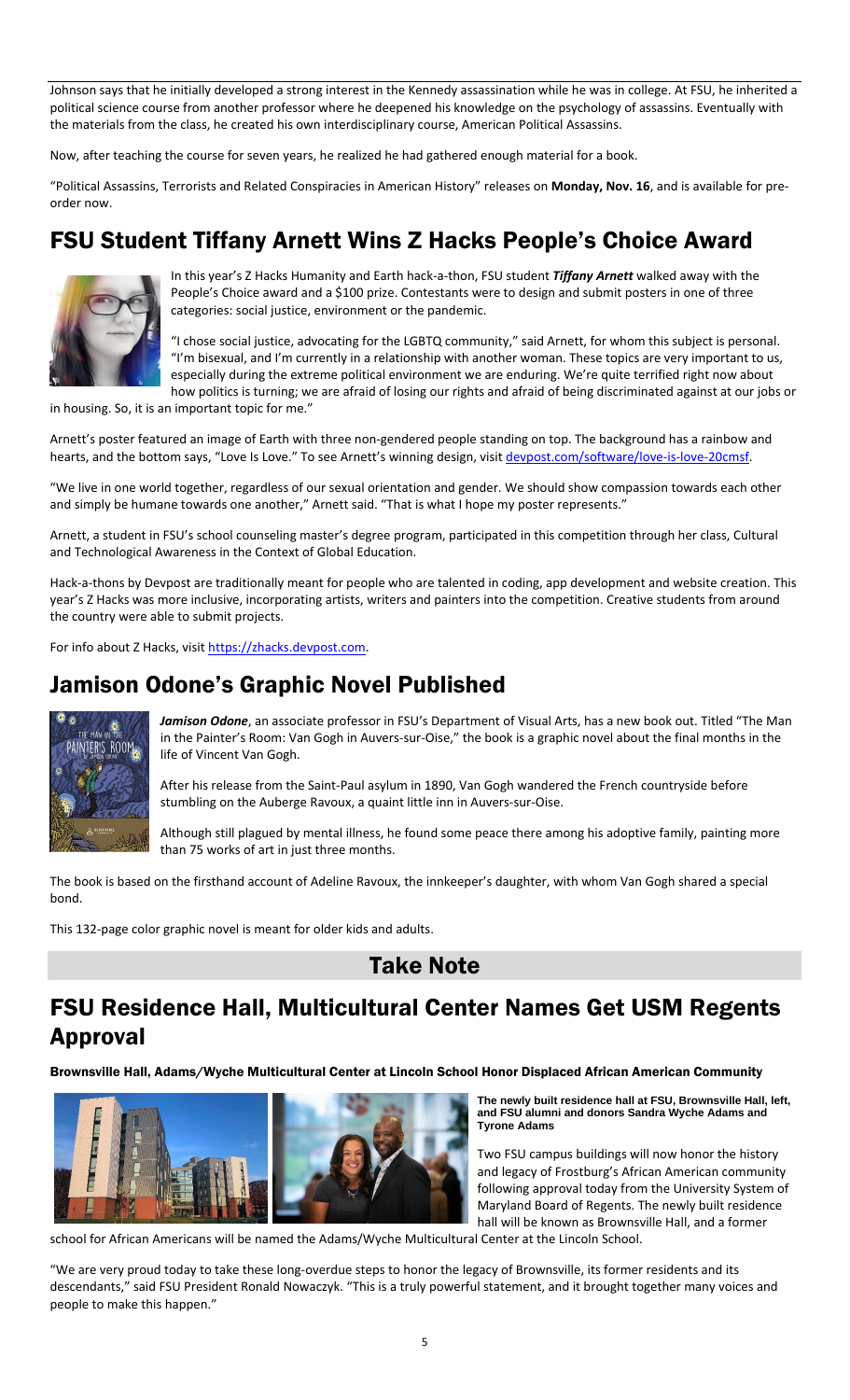Johnson says that he initially developed a strong interest in the Kennedy assassination while he was in college. At FSU, he inherited a political science course from another professor where he deepened his knowledge on the psychology of assassins. Eventually with the materials from the class, he created his own interdisciplinary course, American Political Assassins.

Now, after teaching the course for seven years, he realized he had gathered enough material for a book.

"Political Assassins, Terrorists and Related Conspiracies in American History" releases on **Monday, Nov. 16**, and is available for preorder now.

# FSU Student Tiffany Arnett Wins Z Hacks People's Choice Award



In this year's Z Hacks Humanity and Earth hack-a-thon, FSU student *Tiffany Arnett* walked away with the People's Choice award and a \$100 prize. Contestants were to design and submit posters in one of three categories: social justice, environment or the pandemic.

"I chose social justice, advocating for the LGBTQ community," said Arnett, for whom this subject is personal. "I'm bisexual, and I'm currently in a relationship with another woman. These topics are very important to us, especially during the extreme political environment we are enduring. We're quite terrified right now about how politics is turning; we are afraid of losing our rights and afraid of being discriminated against at our jobs or

in housing. So, it is an important topic for me."

Arnett's poster featured an image of Earth with three non-gendered people standing on top. The background has a rainbow and hearts, and the bottom says, "Love Is Love." To see Arnett's winning design, visit [devpost.com/software/love-is-love-20cmsf.](https://devpost.com/software/love-is-love-20cmsf)

"We live in one world together, regardless of our sexual orientation and gender. We should show compassion towards each other and simply be humane towards one another," Arnett said. "That is what I hope my poster represents."

Arnett, a student in FSU's school counseling master's degree program, participated in this competition through her class, Cultural and Technological Awareness in the Context of Global Education.

Hack-a-thons by Devpost are traditionally meant for people who are talented in coding, app development and website creation. This year's Z Hacks was more inclusive, incorporating artists, writers and painters into the competition. Creative students from around the country were able to submit projects.

For info about Z Hacks, visit [https://zhacks.devpost.com.](https://zhacks.devpost.com/)

### Jamison Odone's Graphic Novel Published



*Jamison Odone*, an associate professor in FSU's Department of Visual Arts, has a new book out. Titled "The Man in the Painter's Room: Van Gogh in Auvers-sur-Oise," the book is a graphic novel about the final months in the life of Vincent Van Gogh.

After his release from the Saint-Paul asylum in 1890, Van Gogh wandered the French countryside before stumbling on the Auberge Ravoux, a quaint little inn in Auvers-sur-Oise.

Although still plagued by mental illness, he found some peace there among his adoptive family, painting more than 75 works of art in just three months.

The book is based on the firsthand account of Adeline Ravoux, the innkeeper's daughter, with whom Van Gogh shared a special bond.

This 132-page color graphic novel is meant for older kids and adults.

### Take Note

### FSU Residence Hall, Multicultural Center Names Get USM Regents Approval

Brownsville Hall, Adams/Wyche Multicultural Center at Lincoln School Honor Displaced African American Community



**The newly built residence hall at FSU, Brownsville Hall, left, and FSU alumni and donors Sandra Wyche Adams and Tyrone Adams**

Two FSU campus buildings will now honor the history and legacy of Frostburg's African American community following approval today from the University System of Maryland Board of Regents. The newly built residence hall will be known as Brownsville Hall, and a former

school for African Americans will be named the Adams/Wyche Multicultural Center at the Lincoln School.

"We are very proud today to take these long-overdue steps to honor the legacy of Brownsville, its former residents and its descendants," said FSU President Ronald Nowaczyk. "This is a truly powerful statement, and it brought together many voices and people to make this happen."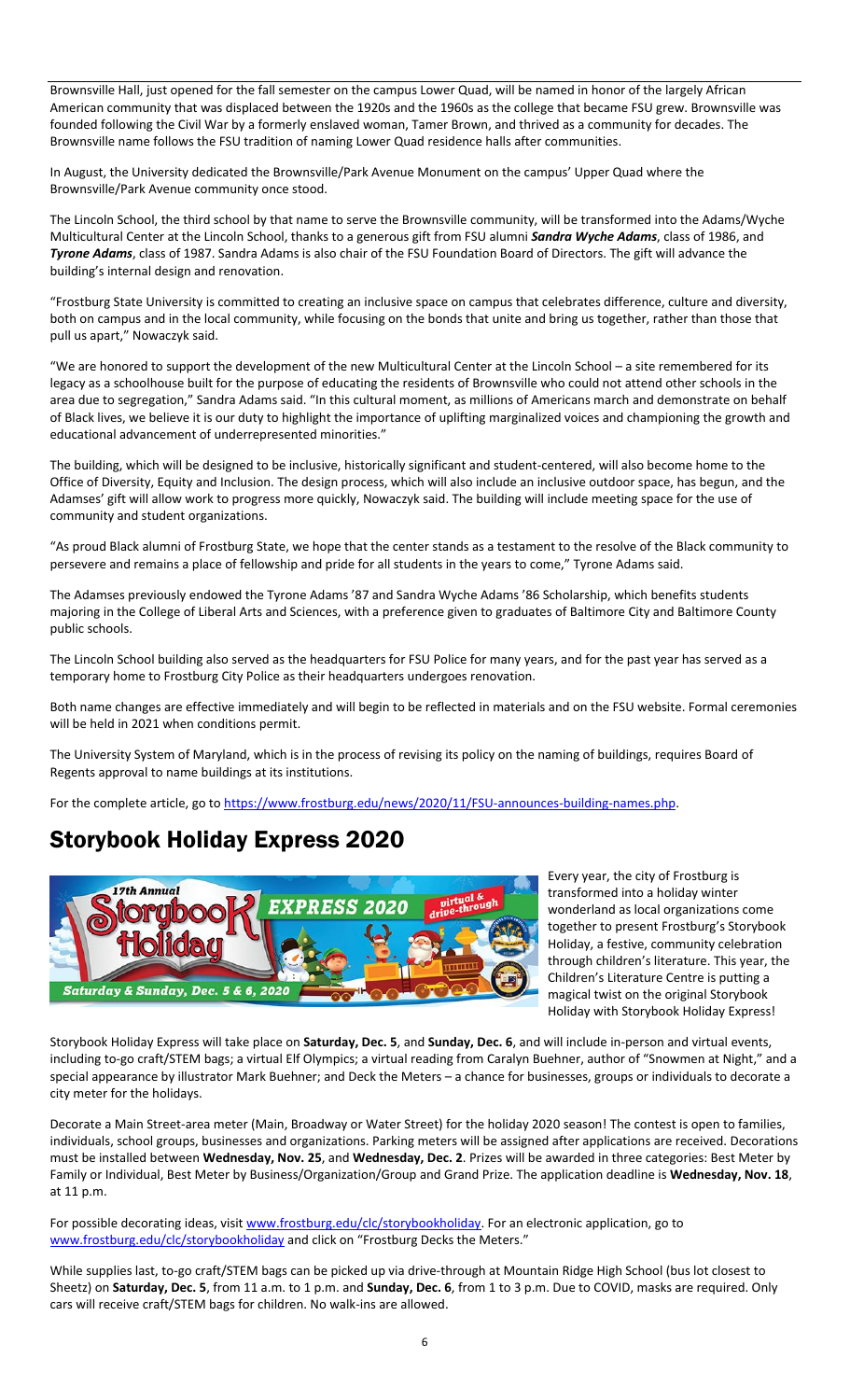Brownsville Hall, just opened for the fall semester on the campus Lower Quad, will be named in honor of the largely African American community that was displaced between the 1920s and the 1960s as the college that became FSU grew. Brownsville was founded following the Civil War by a formerly enslaved woman, Tamer Brown, and thrived as a community for decades. The Brownsville name follows the FSU tradition of naming Lower Quad residence halls after communities.

In August, the University dedicated the Brownsville/Park Avenue Monument on the campus' Upper Quad where the Brownsville/Park Avenue community once stood.

The Lincoln School, the third school by that name to serve the Brownsville community, will be transformed into the Adams/Wyche Multicultural Center at the Lincoln School, thanks to a generous gift from FSU alumni *Sandra Wyche Adams*, class of 1986, and *Tyrone Adams*, class of 1987. Sandra Adams is also chair of the FSU Foundation Board of Directors. The gift will advance the building's internal design and renovation.

"Frostburg State University is committed to creating an inclusive space on campus that celebrates difference, culture and diversity, both on campus and in the local community, while focusing on the bonds that unite and bring us together, rather than those that pull us apart," Nowaczyk said.

"We are honored to support the development of the new Multicultural Center at the Lincoln School – a site remembered for its legacy as a schoolhouse built for the purpose of educating the residents of Brownsville who could not attend other schools in the area due to segregation," Sandra Adams said. "In this cultural moment, as millions of Americans march and demonstrate on behalf of Black lives, we believe it is our duty to highlight the importance of uplifting marginalized voices and championing the growth and educational advancement of underrepresented minorities."

The building, which will be designed to be inclusive, historically significant and student-centered, will also become home to the Office of Diversity, Equity and Inclusion. The design process, which will also include an inclusive outdoor space, has begun, and the Adamses' gift will allow work to progress more quickly, Nowaczyk said. The building will include meeting space for the use of community and student organizations.

"As proud Black alumni of Frostburg State, we hope that the center stands as a testament to the resolve of the Black community to persevere and remains a place of fellowship and pride for all students in the years to come," Tyrone Adams said.

The Adamses previously endowed the Tyrone Adams '87 and Sandra Wyche Adams '86 Scholarship, which benefits students majoring in the College of Liberal Arts and Sciences, with a preference given to graduates of Baltimore City and Baltimore County public schools.

The Lincoln School building also served as the headquarters for FSU Police for many years, and for the past year has served as a temporary home to Frostburg City Police as their headquarters undergoes renovation.

Both name changes are effective immediately and will begin to be reflected in materials and on the FSU website. Formal ceremonies will be held in 2021 when conditions permit.

The University System of Maryland, which is in the process of revising its policy on the naming of buildings, requires Board of Regents approval to name buildings at its institutions.

For the complete article, go t[o https://www.frostburg.edu/news/2020/11/FSU-announces-building-names.php.](https://www.frostburg.edu/news/2020/11/FSU-announces-building-names.php)

### Storybook Holiday Express 2020



Every year, the city of Frostburg is transformed into a holiday winter wonderland as local organizations come together to present Frostburg's Storybook Holiday, a festive, community celebration through children's literature. This year, the Children's Literature Centre is putting a magical twist on the original Storybook Holiday with Storybook Holiday Express!

Storybook Holiday Express will take place on **Saturday, Dec. 5**, and **Sunday, Dec. 6**, and will include in-person and virtual events, including to-go craft/STEM bags; a virtual Elf Olympics; a virtual reading from Caralyn Buehner, author of "Snowmen at Night," and a special appearance by illustrator Mark Buehner; and Deck the Meters – a chance for businesses, groups or individuals to decorate a city meter for the holidays.

Decorate a Main Street-area meter (Main, Broadway or Water Street) for the holiday 2020 season! The contest is open to families, individuals, school groups, businesses and organizations. Parking meters will be assigned after applications are received. Decorations must be installed between **Wednesday, Nov. 25**, and **Wednesday, Dec. 2**. Prizes will be awarded in three categories: Best Meter by Family or Individual, Best Meter by Business/Organization/Group and Grand Prize. The application deadline is **Wednesday, Nov. 18**, at 11 p.m.

For possible decorating ideas, visit [www.frostburg.edu/clc/storybookholiday.](http://www.frostburg.edu/clc/storybookholiday) For an electronic application, go to [www.frostburg.edu/clc/storybookholiday](http://www.frostburg.edu/clc/storybookholiday) and click on "Frostburg Decks the Meters."

While supplies last, to-go craft/STEM bags can be picked up via drive-through at Mountain Ridge High School (bus lot closest to Sheetz) on **Saturday, Dec. 5**, from 11 a.m. to 1 p.m. and **Sunday, Dec. 6**, from 1 to 3 p.m. Due to COVID, masks are required. Only cars will receive craft/STEM bags for children. No walk-ins are allowed.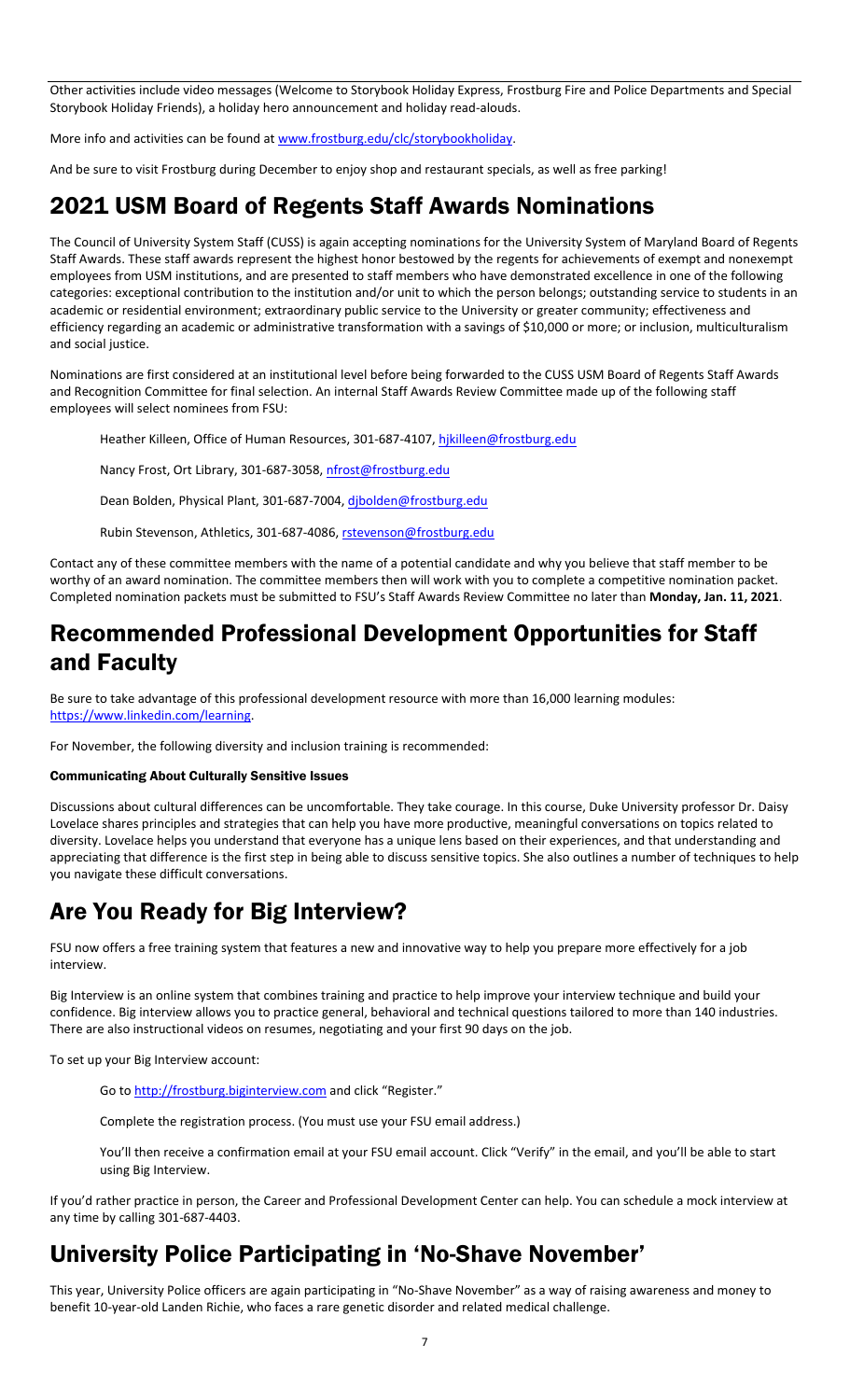Other activities include video messages (Welcome to Storybook Holiday Express, Frostburg Fire and Police Departments and Special Storybook Holiday Friends), a holiday hero announcement and holiday read-alouds.

More info and activities can be found a[t www.frostburg.edu/clc/storybookholiday.](http://www.frostburg.edu/clc/storybookholiday)

And be sure to visit Frostburg during December to enjoy shop and restaurant specials, as well as free parking!

### 2021 USM Board of Regents Staff Awards Nominations

The Council of University System Staff (CUSS) is again accepting nominations for the University System of Maryland Board of Regents Staff Awards. These staff awards represent the highest honor bestowed by the regents for achievements of exempt and nonexempt employees from USM institutions, and are presented to staff members who have demonstrated excellence in one of the following categories: exceptional contribution to the institution and/or unit to which the person belongs; outstanding service to students in an academic or residential environment; extraordinary public service to the University or greater community; effectiveness and efficiency regarding an academic or administrative transformation with a savings of \$10,000 or more; or inclusion, multiculturalism and social justice.

Nominations are first considered at an institutional level before being forwarded to the CUSS USM Board of Regents Staff Awards and Recognition Committee for final selection. An internal Staff Awards Review Committee made up of the following staff employees will select nominees from FSU:

Heather Killeen, Office of Human Resources, 301-687-4107, [hjkilleen@frostburg.edu](mailto:hjkilleen@frostburg.edu)

Nancy Frost, Ort Library, 301-687-3058, [nfrost@frostburg.edu](mailto:nfrost@frostburg.edu)

Dean Bolden, Physical Plant, 301-687-7004, dibolden@frostburg.edu

Rubin Stevenson, Athletics, 301-687-4086[, rstevenson@frostburg.edu](mailto:rstevenson@frostburg.edu)

Contact any of these committee members with the name of a potential candidate and why you believe that staff member to be worthy of an award nomination. The committee members then will work with you to complete a competitive nomination packet. Completed nomination packets must be submitted to FSU's Staff Awards Review Committee no later than **Monday, Jan. 11, 2021**.

### Recommended Professional Development Opportunities for Staff and Faculty

Be sure to take advantage of this professional development resource with more than 16,000 learning modules: [https://www.linkedin.com/learning.](https://www.linkedin.com/learning)

For November, the following diversity and inclusion training is recommended:

#### Communicating About Culturally Sensitive Issues

Discussions about cultural differences can be uncomfortable. They take courage. In this course, Duke University professor Dr. Daisy Lovelace shares principles and strategies that can help you have more productive, meaningful conversations on topics related to diversity. Lovelace helps you understand that everyone has a unique lens based on their experiences, and that understanding and appreciating that difference is the first step in being able to discuss sensitive topics. She also outlines a number of techniques to help you navigate these difficult conversations.

### Are You Ready for Big Interview?

FSU now offers a free training system that features a new and innovative way to help you prepare more effectively for a job interview.

Big Interview is an online system that combines training and practice to help improve your interview technique and build your confidence. Big interview allows you to practice general, behavioral and technical questions tailored to more than 140 industries. There are also instructional videos on resumes, negotiating and your first 90 days on the job.

To set up your Big Interview account:

Go t[o http://frostburg.biginterview.com](http://frostburg.biginterview.com/) and click "Register."

Complete the registration process. (You must use your FSU email address.)

You'll then receive a confirmation email at your FSU email account. Click "Verify" in the email, and you'll be able to start using Big Interview.

If you'd rather practice in person, the Career and Professional Development Center can help. You can schedule a mock interview at any time by calling 301-687-4403.

### University Police Participating in 'No-Shave November'

This year, University Police officers are again participating in "No-Shave November" as a way of raising awareness and money to benefit 10-year-old Landen Richie, who faces a rare genetic disorder and related medical challenge.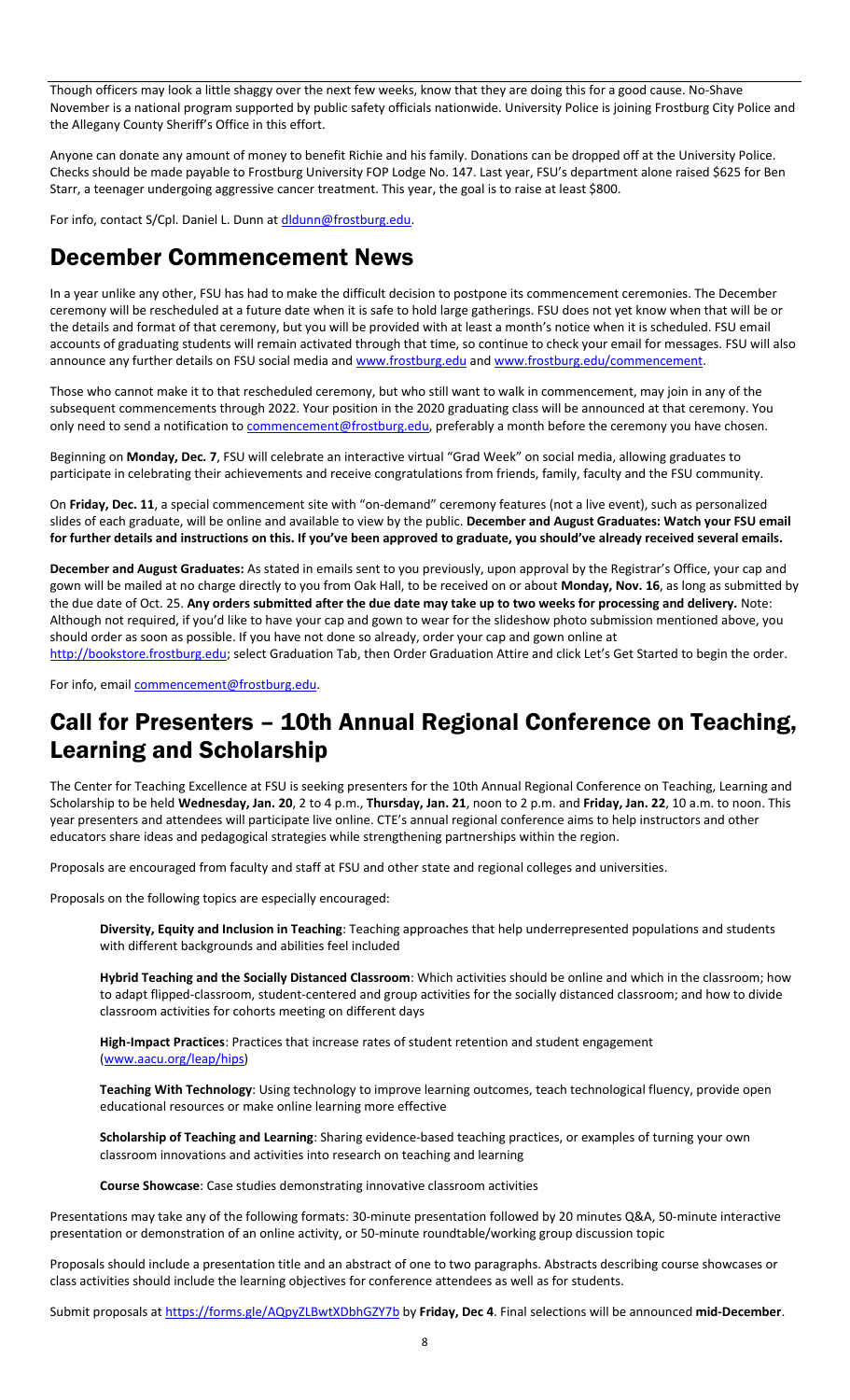Though officers may look a little shaggy over the next few weeks, know that they are doing this for a good cause. No-Shave November is a national program supported by public safety officials nationwide. University Police is joining Frostburg City Police and the Allegany County Sheriff's Office in this effort.

Anyone can donate any amount of money to benefit Richie and his family. Donations can be dropped off at the University Police. Checks should be made payable to Frostburg University FOP Lodge No. 147. Last year, FSU's department alone raised \$625 for Ben Starr, a teenager undergoing aggressive cancer treatment. This year, the goal is to raise at least \$800.

For info, contact S/Cpl. Daniel L. Dunn a[t dldunn@frostburg.edu.](mailto:dldunn@frostburg.edu)

### December Commencement News

In a year unlike any other, FSU has had to make the difficult decision to postpone its commencement ceremonies. The December ceremony will be rescheduled at a future date when it is safe to hold large gatherings. FSU does not yet know when that will be or the details and format of that ceremony, but you will be provided with at least a month's notice when it is scheduled. FSU email accounts of graduating students will remain activated through that time, so continue to check your email for messages. FSU will also announce any further details on FSU social media an[d www.frostburg.edu](http://www.frostburg.edu/) and [www.frostburg.edu/commencement.](http://www.frostburg.edu/commencement)

Those who cannot make it to that rescheduled ceremony, but who still want to walk in commencement, may join in any of the subsequent commencements through 2022. Your position in the 2020 graduating class will be announced at that ceremony. You only need to send a notification to *commencement@frostburg.edu*, preferably a month before the ceremony you have chosen.

Beginning on **Monday, Dec. 7**, FSU will celebrate an interactive virtual "Grad Week" on social media, allowing graduates to participate in celebrating their achievements and receive congratulations from friends, family, faculty and the FSU community.

On **Friday, Dec. 11**, a special commencement site with "on-demand" ceremony features (not a live event), such as personalized slides of each graduate, will be online and available to view by the public. **December and August Graduates: Watch your FSU email for further details and instructions on this. If you've been approved to graduate, you should've already received several emails.**

**December and August Graduates:** As stated in emails sent to you previously, upon approval by the Registrar's Office, your cap and gown will be mailed at no charge directly to you from Oak Hall, to be received on or about **Monday, Nov. 16**, as long as submitted by the due date of Oct. 25. **Any orders submitted after the due date may take up to two weeks for processing and delivery.** Note: Although not required, if you'd like to have your cap and gown to wear for the slideshow photo submission mentioned above, you should order as soon as possible. If you have not done so already, order your cap and gown online at

[http://bookstore.frostburg.edu](http://bookstore.frostburg.edu/); select Graduation Tab, then Order Graduation Attire and click Let's Get Started to begin the order.

For info, email [commencement@frostburg.edu.](mailto:commencement@frostburg.edu)

## Call for Presenters – 10th Annual Regional Conference on Teaching, Learning and Scholarship

The Center for Teaching Excellence at FSU is seeking presenters for the 10th Annual Regional Conference on Teaching, Learning and Scholarship to be held **Wednesday, Jan. 20**, 2 to 4 p.m., **Thursday, Jan. 21**, noon to 2 p.m. and **Friday, Jan. 22**, 10 a.m. to noon. This year presenters and attendees will participate live online. CTE's annual regional conference aims to help instructors and other educators share ideas and pedagogical strategies while strengthening partnerships within the region.

Proposals are encouraged from faculty and staff at FSU and other state and regional colleges and universities.

Proposals on the following topics are especially encouraged:

**Diversity, Equity and Inclusion in Teaching**: Teaching approaches that help underrepresented populations and students with different backgrounds and abilities feel included

**Hybrid Teaching and the Socially Distanced Classroom**: Which activities should be online and which in the classroom; how to adapt flipped-classroom, student-centered and group activities for the socially distanced classroom; and how to divide classroom activities for cohorts meeting on different days

**High-Impact Practices**: Practices that increase rates of student retention and student engagement [\(www.aacu.org/leap/hips\)](http://www.aacu.org/leap/hips)

**Teaching With Technology**: Using technology to improve learning outcomes, teach technological fluency, provide open educational resources or make online learning more effective

**Scholarship of Teaching and Learning**: Sharing evidence-based teaching practices, or examples of turning your own classroom innovations and activities into research on teaching and learning

**Course Showcase**: Case studies demonstrating innovative classroom activities

Presentations may take any of the following formats: 30-minute presentation followed by 20 minutes Q&A, 50-minute interactive presentation or demonstration of an online activity, or 50-minute roundtable/working group discussion topic

Proposals should include a presentation title and an abstract of one to two paragraphs. Abstracts describing course showcases or class activities should include the learning objectives for conference attendees as well as for students.

Submit proposals at<https://forms.gle/AQpyZLBwtXDbhGZY7b> by **Friday, Dec 4**. Final selections will be announced **mid-December**.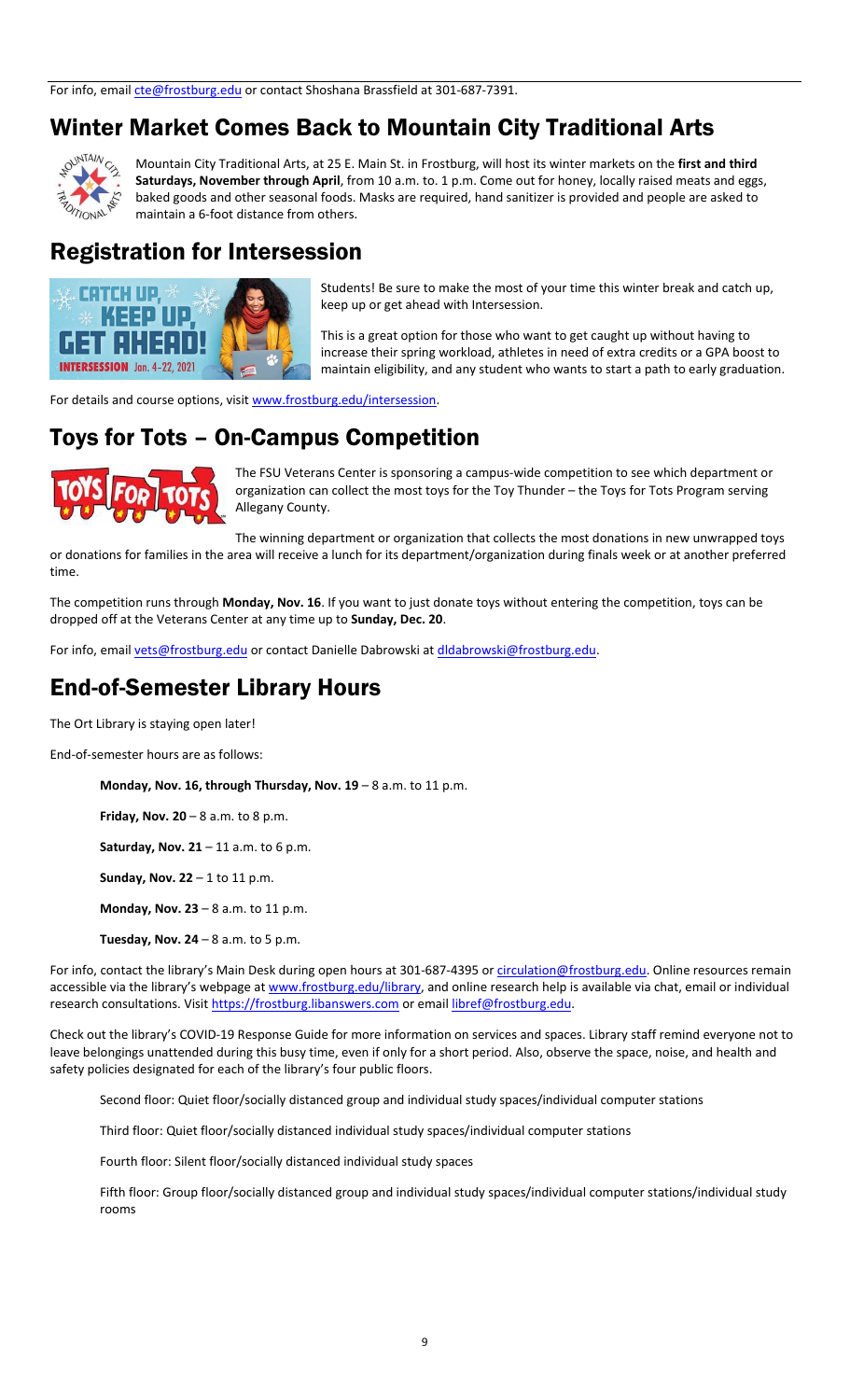### Winter Market Comes Back to Mountain City Traditional Arts



Mountain City Traditional Arts, at 25 E. Main St. in Frostburg, will host its winter markets on the **first and third Saturdays, November through April**, from 10 a.m. to. 1 p.m. Come out for honey, locally raised meats and eggs, baked goods and other seasonal foods. Masks are required, hand sanitizer is provided and people are asked to maintain a 6-foot distance from others.

### Registration for Intersession



Students! Be sure to make the most of your time this winter break and catch up, keep up or get ahead with Intersession.

This is a great option for those who want to get caught up without having to increase their spring workload, athletes in need of extra credits or a GPA boost to maintain eligibility, and any student who wants to start a path to early graduation.

For details and course options, visit [www.frostburg.edu/intersession.](http://www.frostburg.edu/intersession)

### Toys for Tots – On-Campus Competition



time.

The FSU Veterans Center is sponsoring a campus-wide competition to see which department or organization can collect the most toys for the Toy Thunder – the Toys for Tots Program serving Allegany County.

The winning department or organization that collects the most donations in new unwrapped toys or donations for families in the area will receive a lunch for its department/organization during finals week or at another preferred

The competition runs through **Monday, Nov. 16**. If you want to just donate toys without entering the competition, toys can be dropped off at the Veterans Center at any time up to **Sunday, Dec. 20**.

For info, email [vets@frostburg.edu](mailto:vets@frostburg.edu) or contact Danielle Dabrowski at dldabrowski@frostburg.edu.

### End-of-Semester Library Hours

The Ort Library is staying open later!

End-of-semester hours are as follows:

**Monday, Nov. 16, through Thursday, Nov. 19** – 8 a.m. to 11 p.m.

**Friday, Nov. 20** – 8 a.m. to 8 p.m.

**Saturday, Nov. 21** – 11 a.m. to 6 p.m.

**Sunday, Nov. 22** – 1 to 11 p.m.

**Monday, Nov. 23** – 8 a.m. to 11 p.m.

**Tuesday, Nov. 24** – 8 a.m. to 5 p.m.

For info, contact the library's Main Desk during open hours at 301-687-4395 or [circulation@frostburg.edu.](mailto:circulation@frostburg.edu) Online resources remain accessible via the library's webpage at [www.frostburg.edu/library,](http://www.frostburg.edu/library) and online research help is available via chat, email or individual research consultations. Visi[t https://frostburg.libanswers.com](https://frostburg.libanswers.com/) or emai[l libref@frostburg.edu.](mailto:libref@frostburg.edu)

Check out the library's COVID-19 Response Guide for more information on services and spaces. Library staff remind everyone not to leave belongings unattended during this busy time, even if only for a short period. Also, observe the space, noise, and health and safety policies designated for each of the library's four public floors.

Second floor: Quiet floor/socially distanced group and individual study spaces/individual computer stations

Third floor: Quiet floor/socially distanced individual study spaces/individual computer stations

Fourth floor: Silent floor/socially distanced individual study spaces

Fifth floor: Group floor/socially distanced group and individual study spaces/individual computer stations/individual study rooms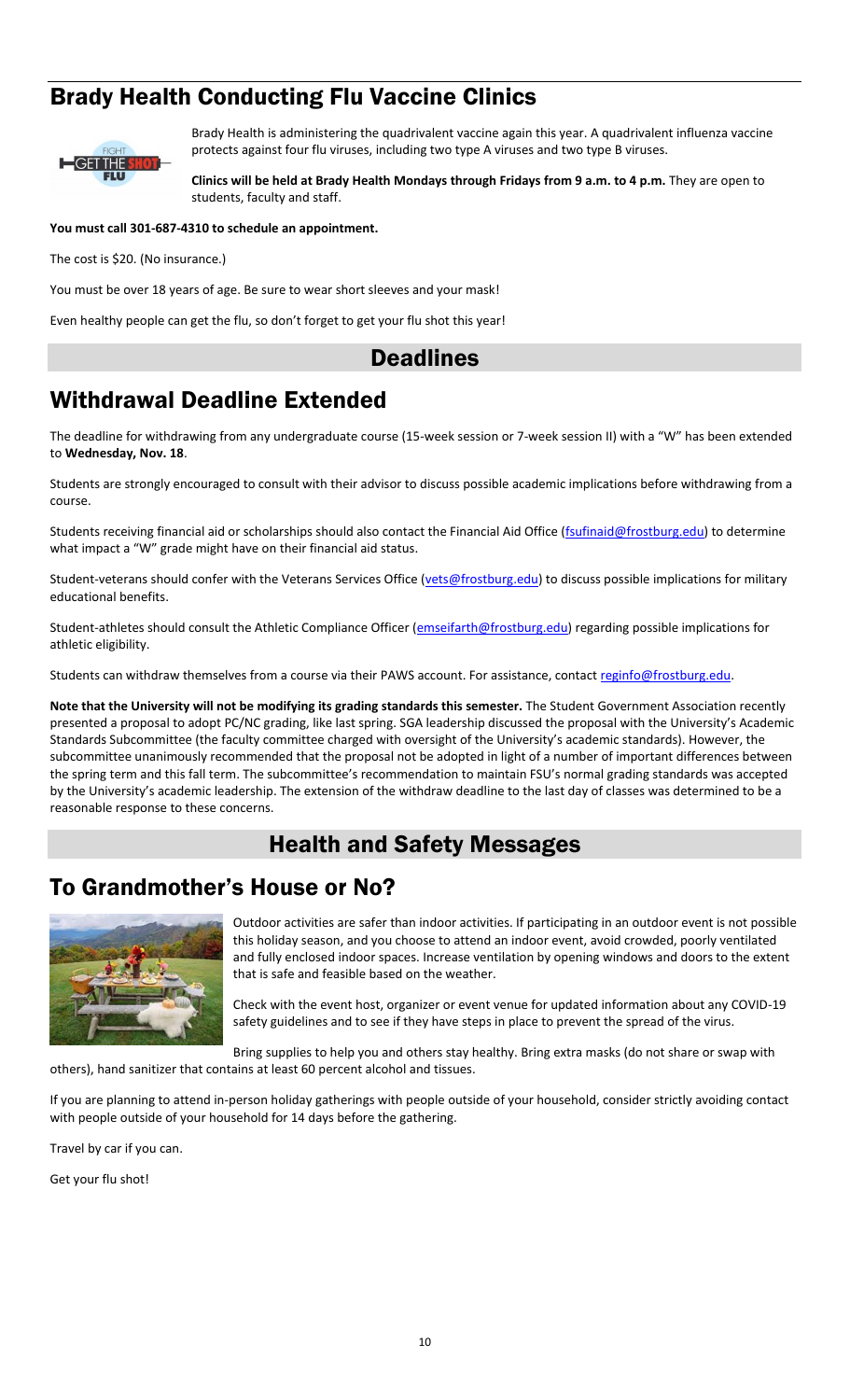## Brady Health Conducting Flu Vaccine Clinics



Brady Health is administering the quadrivalent vaccine again this year. A quadrivalent influenza vaccine protects against four flu viruses, including two type A viruses and two type B viruses.

**Clinics will be held at Brady Health Mondays through Fridays from 9 a.m. to 4 p.m.** They are open to students, faculty and staff.

**You must call 301-687-4310 to schedule an appointment.**

The cost is \$20. (No insurance.)

You must be over 18 years of age. Be sure to wear short sleeves and your mask!

Even healthy people can get the flu, so don't forget to get your flu shot this year!

### **Deadlines**

## Withdrawal Deadline Extended

The deadline for withdrawing from any undergraduate course (15-week session or 7-week session II) with a "W" has been extended to **Wednesday, Nov. 18**.

Students are strongly encouraged to consult with their advisor to discuss possible academic implications before withdrawing from a course.

Students receiving financial aid or scholarships should also contact the Financial Aid Office [\(fsufinaid@frostburg.edu\)](mailto:fsufinaid@frostburg.edu) to determine what impact a "W" grade might have on their financial aid status.

Student-veterans should confer with the Veterans Services Office [\(vets@frostburg.edu\)](mailto:vets@frostburg.edu) to discuss possible implications for military educational benefits.

Student-athletes should consult the Athletic Compliance Officer [\(emseifarth@frostburg.edu\)](mailto:emseifarth@frostburg.edu) regarding possible implications for athletic eligibility.

Students can withdraw themselves from a course via their PAWS account. For assistance, contact reginfo@frostburg.edu.

**Note that the University will not be modifying its grading standards this semester.** The Student Government Association recently presented a proposal to adopt PC/NC grading, like last spring. SGA leadership discussed the proposal with the University's Academic Standards Subcommittee (the faculty committee charged with oversight of the University's academic standards). However, the subcommittee unanimously recommended that the proposal not be adopted in light of a number of important differences between the spring term and this fall term. The subcommittee's recommendation to maintain FSU's normal grading standards was accepted by the University's academic leadership. The extension of the withdraw deadline to the last day of classes was determined to be a reasonable response to these concerns.

### Health and Safety Messages

### To Grandmother's House or No?



Outdoor activities are safer than indoor activities. If participating in an outdoor event is not possible this holiday season, and you choose to attend an indoor event, avoid crowded, poorly ventilated and fully enclosed indoor spaces. Increase ventilation by opening windows and doors to the extent that is safe and feasible based on the weather.

Check with the event host, organizer or event venue for updated information about any COVID-19 safety guidelines and to see if they have steps in place to prevent the spread of the virus.

Bring supplies to help you and others stay healthy. Bring extra masks (do not share or swap with others), hand sanitizer that contains at least 60 percent alcohol and tissues.

If you are planning to attend in-person holiday gatherings with people outside of your household, consider strictly avoiding contact with people outside of your household for 14 days before the gathering.

Travel by car if you can.

Get your flu shot!